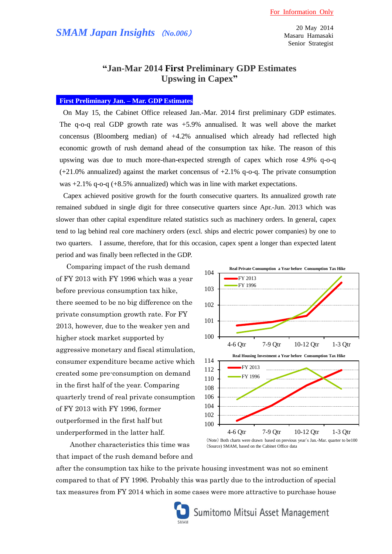20 May 2014 Masaru Hamasaki Senior Strategist

# **"Jan-Mar 2014 First Preliminary GDP Estimates Upswing in Capex"**

## **First Preliminary Jan. – Mar. GDP Estimates**

On May 15, the Cabinet Office released Jan.-Mar. 2014 first preliminary GDP estimates. The q-o-q real GDP growth rate was +5.9% annualised. It was well above the market concensus (Bloomberg median) of +4.2% annualised which already had reflected high economic growth of rush demand ahead of the consumption tax hike. The reason of this upswing was due to much more-than-expected strength of capex which rose 4.9% q-o-q  $(+21.0\%$  annualized) against the market concensus of  $+2.1\%$  q-o-q. The private consumption was +2.1% q-o-q (+8.5% annualized) which was in line with market expectations.

Capex achieved positive growth for the fourth consecutive quarters. Its annualized growth rate remained subdued in single digit for three consecutive quarters since Apr.-Jun. 2013 which was slower than other capital expenditure related statistics such as machinery orders. In general, capex tend to lag behind real core machinery orders (excl. ships and electric power companies) by one to two quarters. I assume, therefore, that for this occasion, capex spent a longer than expected latent period and was finally been reflected in the GDP.

Comparing impact of the rush demand of FY 2013 with FY 1996 which was a year before previous consumption tax hike, there seemed to be no big difference on the private consumption growth rate. For FY 2013, however, due to the weaker yen and higher stock market supported by aggressive monetary and fiscal stimulation, consumer expenditure became active which created some pre-consumption on demand in the first half of the year. Comparing quarterly trend of real private consumption of FY 2013 with FY 1996, former outperformed in the first half but underperformed in the latter half.

 Another characteristics this time was that impact of the rush demand before and

100 101 102 103 104 4-6 Qtr 7-9 Qtr 10-12 Qtr 1-3 Qtr **Real Private Consumption a Year before Consumption Tax Hike** FY 2013 FY 1996 100 102 104 106 108 110 112 114 4-6 Qtr 7-9 Qtr 10-12 Qtr 1-3 Qtr **Real Housing Investment a Year before Consumption Tax Hike** FY 2013 FY 1996

after the consumption tax hike to the private housing investment was not so eminent compared to that of FY 1996. Probably this was partly due to the introduction of special tax measures from FY 2014 which in some cases were more attractive to purchase house

<sup>(</sup>Note) Both charts were drawn based on previous year`s Jan.-Mar. quarter to be100 (Source) SMAM, based on the Cabinet Office data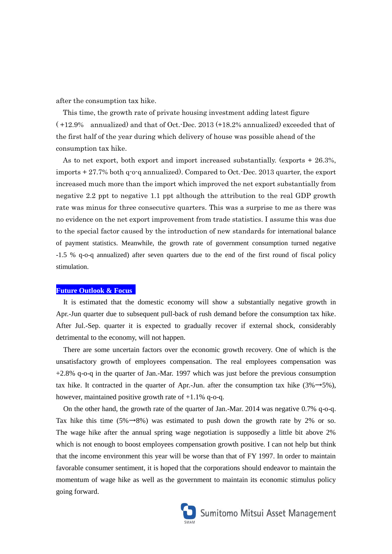after the consumption tax hike.

This time, the growth rate of private housing investment adding latest figure ( +12.9% annualized) and that of Oct.-Dec. 2013 (+18.2% annualized) exceeded that of the first half of the year during which delivery of house was possible ahead of the consumption tax hike.

As to net export, both export and import increased substantially. (exports + 26.3%, imports + 27.7% both q-o-q annualized). Compared to Oct.-Dec. 2013 quarter, the export increased much more than the import which improved the net export substantially from negative 2.2 ppt to negative 1.1 ppt although the attribution to the real GDP growth rate was minus for three consecutive quarters. This was a surprise to me as there was no evidence on the net export improvement from trade statistics. I assume this was due to the special factor caused by the introduction of new standards for international balance of payment statistics. Meanwhile, the growth rate of government consumption turned negative -1.5 % q-o-q annualized) after seven quarters due to the end of the first round of fiscal policy stimulation.

### **Future Outlook & Focus**

It is estimated that the domestic economy will show a substantially negative growth in Apr.-Jun quarter due to subsequent pull-back of rush demand before the consumption tax hike. After Jul.-Sep. quarter it is expected to gradually recover if external shock, considerably detrimental to the economy, will not happen.

There are some uncertain factors over the economic growth recovery. One of which is the unsatisfactory growth of employees compensation. The real employees compensation was +2.8% q-o-q in the quarter of Jan.-Mar. 1997 which was just before the previous consumption tax hike. It contracted in the quarter of Apr.-Jun. after the consumption tax hike  $(3\% \rightarrow 5\%)$ , however, maintained positive growth rate of  $+1.1\%$  q-o-q.

On the other hand, the growth rate of the quarter of Jan.-Mar. 2014 was negative 0.7% q-o-q. Tax hike this time (5% $\rightarrow$ 8%) was estimated to push down the growth rate by 2% or so. The wage hike after the annual spring wage negotiation is supposedly a little bit above 2% which is not enough to boost employees compensation growth positive. I can not help but think that the income environment this year will be worse than that of FY 1997. In order to maintain favorable consumer sentiment, it is hoped that the corporations should endeavor to maintain the momentum of wage hike as well as the government to maintain its economic stimulus policy going forward.

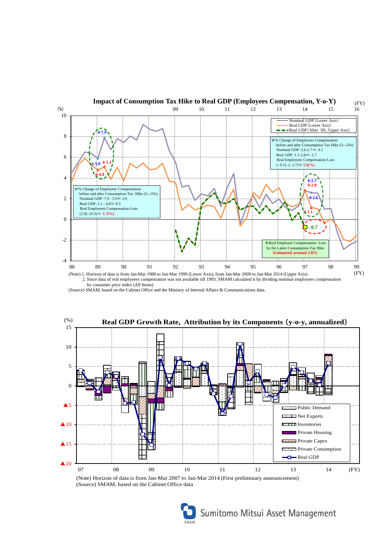

(Source) SMAM, based on the Cabinet Office and the Ministry of Internal Affairs & Communications data.



(Note) Horizon of data is from Jan-Mar 2007 to Jan-Mar 2014 (First preliminary announcement) (Source) SMAM, based on the Cabinet Office data